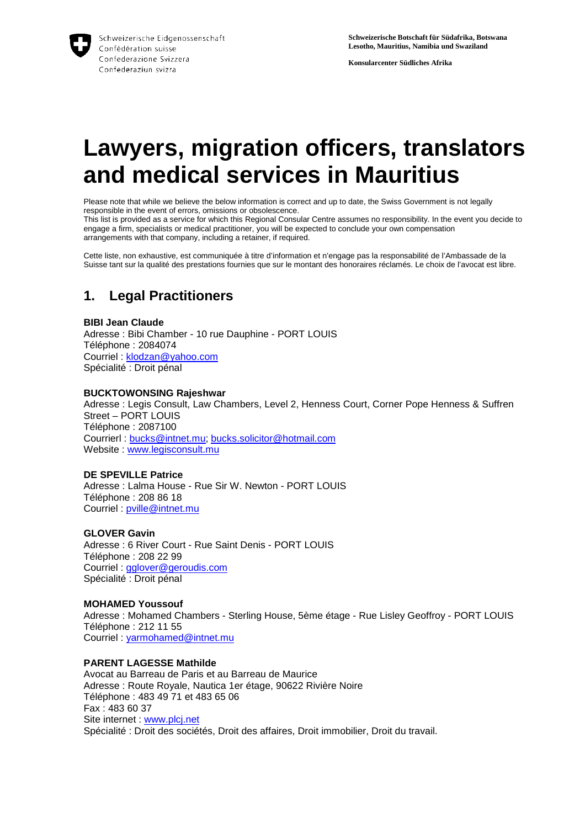

**Konsularcenter Südliches Afrika**

# **Lawyers, migration officers, translators and medical services in Mauritius**

Please note that while we believe the below information is correct and up to date, the Swiss Government is not legally responsible in the event of errors, omissions or obsolescence.

This list is provided as a service for which this Regional Consular Centre assumes no responsibility. In the event you decide to engage a firm, specialists or medical practitioner, you will be expected to conclude your own compensation arrangements with that company, including a retainer, if required.

Cette liste, non exhaustive, est communiquée à titre d'information et n'engage pas la responsabilité de l'Ambassade de la Suisse tant sur la qualité des prestations fournies que sur le montant des honoraires réclamés. Le choix de l'avocat est libre.

## **1. Legal Practitioners**

#### **BIBI Jean Claude**

Adresse : Bibi Chamber - 10 rue Dauphine - PORT LOUIS Téléphone : 2084074 Courriel : klodzan@yahoo.com Spécialité : Droit pénal

#### **BUCKTOWONSING Rajeshwar**

Adresse : Legis Consult, Law Chambers, Level 2, Henness Court, Corner Pope Henness & Suffren Street – PORT LOUIS Téléphone : 2087100 Courrierl : bucks@intnet.mu; bucks.solicitor@hotmail.com Website : www.legisconsult.mu

#### **DE SPEVILLE Patrice**

Adresse : Lalma House - Rue Sir W. Newton - PORT LOUIS Téléphone : 208 86 18 Courriel : pville@intnet.mu

#### **GLOVER Gavin**

Adresse : 6 River Court - Rue Saint Denis - PORT LOUIS Téléphone : 208 22 99 Courriel : gglover@geroudis.com Spécialité : Droit pénal

#### **MOHAMED Youssouf** Adresse : Mohamed Chambers - Sterling House, 5ème étage - Rue Lisley Geoffroy - PORT LOUIS Téléphone : 212 11 55 Courriel : yarmohamed@intnet.mu

#### **PARENT LAGESSE Mathilde**

Avocat au Barreau de Paris et au Barreau de Maurice Adresse : Route Royale, Nautica 1er étage, 90622 Rivière Noire Téléphone : 483 49 71 et 483 65 06 Fax : 483 60 37 Site internet : www.plcj.net Spécialité : Droit des sociétés, Droit des affaires, Droit immobilier, Droit du travail.